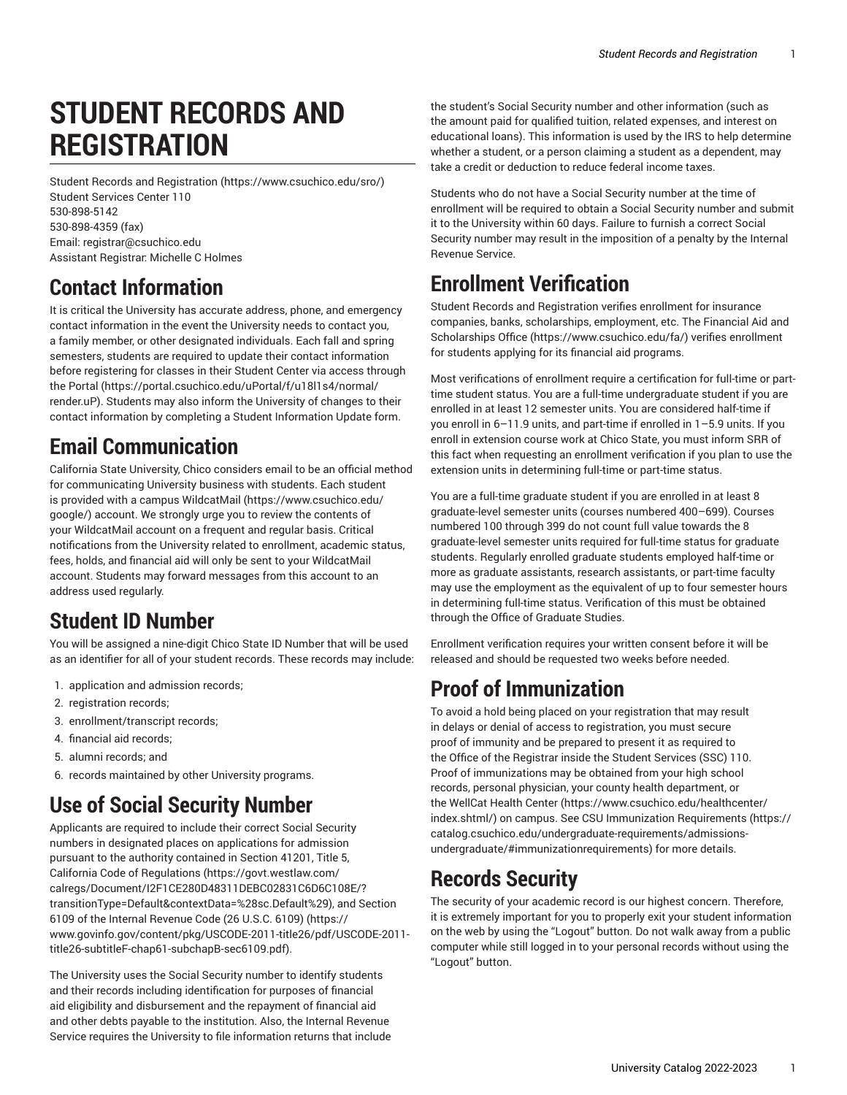# **STUDENT RECORDS AND REGISTRATION**

Student Records and [Registration](https://www.csuchico.edu/sro/) [\(https://www.csuchico.edu/sro/](https://www.csuchico.edu/sro/)) Student Services Center 110 [530-898-5142](tel:530-898-5142) [530-898-4359 \(fax\)](tel:530-898-4359) Email: [registrar@csuchico.edu](mailto:registrar@csuchico.edu) Assistant Registrar: Michelle C Holmes

### **Contact Information**

It is critical the University has accurate address, phone, and emergency contact information in the event the University needs to contact you, a family member, or other designated individuals. Each fall and spring semesters, students are required to update their contact information before registering for classes in their Student Center via access through the [Portal](https://portal.csuchico.edu/uPortal/f/u18l1s4/normal/render.uP) ([https://portal.csuchico.edu/uPortal/f/u18l1s4/normal/](https://portal.csuchico.edu/uPortal/f/u18l1s4/normal/render.uP) [render.uP](https://portal.csuchico.edu/uPortal/f/u18l1s4/normal/render.uP)). Students may also inform the University of changes to their contact information by completing a Student Information Update form.

### **Email Communication**

California State University, Chico considers email to be an official method for communicating University business with students. Each student is provided with a campus [WildcatMail](https://www.csuchico.edu/google/) ([https://www.csuchico.edu/](https://www.csuchico.edu/google/) [google/\)](https://www.csuchico.edu/google/) account. We strongly urge you to review the contents of your WildcatMail account on a frequent and regular basis. Critical notifications from the University related to enrollment, academic status, fees, holds, and financial aid will only be sent to your WildcatMail account. Students may forward messages from this account to an address used regularly.

### **Student ID Number**

You will be assigned a nine-digit Chico State ID Number that will be used as an identifier for all of your student records. These records may include:

- 1. application and admission records;
- 2. registration records;
- 3. enrollment/transcript records;
- 4. financial aid records;
- 5. alumni records; and
- 6. records maintained by other University programs.

## **Use of Social Security Number**

Applicants are required to include their correct Social Security numbers in designated places on applications for admission pursuant to the authority contained in [Section 41201, Title 5,](https://govt.westlaw.com/calregs/Document/I2F1CE280D48311DEBC02831C6D6C108E/?transitionType=Default&contextData=%28sc.Default%29) [California Code of Regulations](https://govt.westlaw.com/calregs/Document/I2F1CE280D48311DEBC02831C6D6C108E/?transitionType=Default&contextData=%28sc.Default%29) ([https://govt.westlaw.com/](https://govt.westlaw.com/calregs/Document/I2F1CE280D48311DEBC02831C6D6C108E/?transitionType=Default&contextData=%28sc.Default%29) [calregs/Document/I2F1CE280D48311DEBC02831C6D6C108E/?](https://govt.westlaw.com/calregs/Document/I2F1CE280D48311DEBC02831C6D6C108E/?transitionType=Default&contextData=%28sc.Default%29) [transitionType=Default&contextData=%28sc.Default%29\)](https://govt.westlaw.com/calregs/Document/I2F1CE280D48311DEBC02831C6D6C108E/?transitionType=Default&contextData=%28sc.Default%29), and [Section](https://www.govinfo.gov/content/pkg/USCODE-2011-title26/pdf/USCODE-2011-title26-subtitleF-chap61-subchapB-sec6109.pdf) 6109 of the Internal [Revenue](https://www.govinfo.gov/content/pkg/USCODE-2011-title26/pdf/USCODE-2011-title26-subtitleF-chap61-subchapB-sec6109.pdf) Code (26 U.S.C. 6109) [\(https://](https://www.govinfo.gov/content/pkg/USCODE-2011-title26/pdf/USCODE-2011-title26-subtitleF-chap61-subchapB-sec6109.pdf) [www.govinfo.gov/content/pkg/USCODE-2011-title26/pdf/USCODE-2011](https://www.govinfo.gov/content/pkg/USCODE-2011-title26/pdf/USCODE-2011-title26-subtitleF-chap61-subchapB-sec6109.pdf) [title26-subtitleF-chap61-subchapB-sec6109.pdf\)](https://www.govinfo.gov/content/pkg/USCODE-2011-title26/pdf/USCODE-2011-title26-subtitleF-chap61-subchapB-sec6109.pdf).

The University uses the Social Security number to identify students and their records including identification for purposes of financial aid eligibility and disbursement and the repayment of financial aid and other debts payable to the institution. Also, the Internal Revenue Service requires the University to file information returns that include

the student's Social Security number and other information (such as the amount paid for qualified tuition, related expenses, and interest on educational loans). This information is used by the IRS to help determine whether a student, or a person claiming a student as a dependent, may take a credit or deduction to reduce federal income taxes.

Students who do not have a Social Security number at the time of enrollment will be required to obtain a Social Security number and submit it to the University within 60 days. Failure to furnish a correct Social Security number may result in the imposition of a penalty by the Internal Revenue Service.

## **Enrollment Verification**

Student Records and Registration verifies enrollment for insurance companies, banks, scholarships, employment, etc. The [Financial Aid and](https://www.csuchico.edu/fa/) [Scholarships Office](https://www.csuchico.edu/fa/) [\(https://www.csuchico.edu/fa/](https://www.csuchico.edu/fa/)) verifies enrollment for students applying for its financial aid programs.

Most verifications of enrollment require a certification for full-time or parttime student status. You are a full-time undergraduate student if you are enrolled in at least 12 semester units. You are considered half-time if you enroll in 6–11.9 units, and part-time if enrolled in 1–5.9 units. If you enroll in extension course work at Chico State, you must inform SRR of this fact when requesting an enrollment verification if you plan to use the extension units in determining full-time or part-time status.

You are a full-time graduate student if you are enrolled in at least 8 graduate-level semester units (courses numbered 400–699). Courses numbered 100 through 399 do not count full value towards the 8 graduate-level semester units required for full-time status for graduate students. Regularly enrolled graduate students employed half-time or more as graduate assistants, research assistants, or part-time faculty may use the employment as the equivalent of up to four semester hours in determining full-time status. Verification of this must be obtained through the Office of Graduate Studies.

Enrollment verification requires your written consent before it will be released and should be requested two weeks before needed.

### **Proof of Immunization**

To avoid a hold being placed on your registration that may result in delays or denial of access to registration, you must secure proof of immunity and be prepared to present it as required to the Office of the Registrar inside the Student Services (SSC) 110. Proof of immunizations may be obtained from your high school records, personal physician, your county health department, or the [WellCat](https://www.csuchico.edu/healthcenter/index.shtml/) Health Center [\(https://www.csuchico.edu/healthcenter/](https://www.csuchico.edu/healthcenter/index.shtml/) [index.shtml/\)](https://www.csuchico.edu/healthcenter/index.shtml/) on campus. See CSU Immunization [Requirements](https://catalog.csuchico.edu/undergraduate-requirements/admissions-undergraduate/#immunizationrequirements) ([https://](https://catalog.csuchico.edu/undergraduate-requirements/admissions-undergraduate/#immunizationrequirements) [catalog.csuchico.edu/undergraduate-requirements/admissions](https://catalog.csuchico.edu/undergraduate-requirements/admissions-undergraduate/#immunizationrequirements)[undergraduate/#immunizationrequirements](https://catalog.csuchico.edu/undergraduate-requirements/admissions-undergraduate/#immunizationrequirements)) for more details.

### **Records Security**

The security of your academic record is our highest concern. Therefore, it is extremely important for you to properly exit your student information on the web by using the "Logout" button. Do not walk away from a public computer while still logged in to your personal records without using the "Logout" button.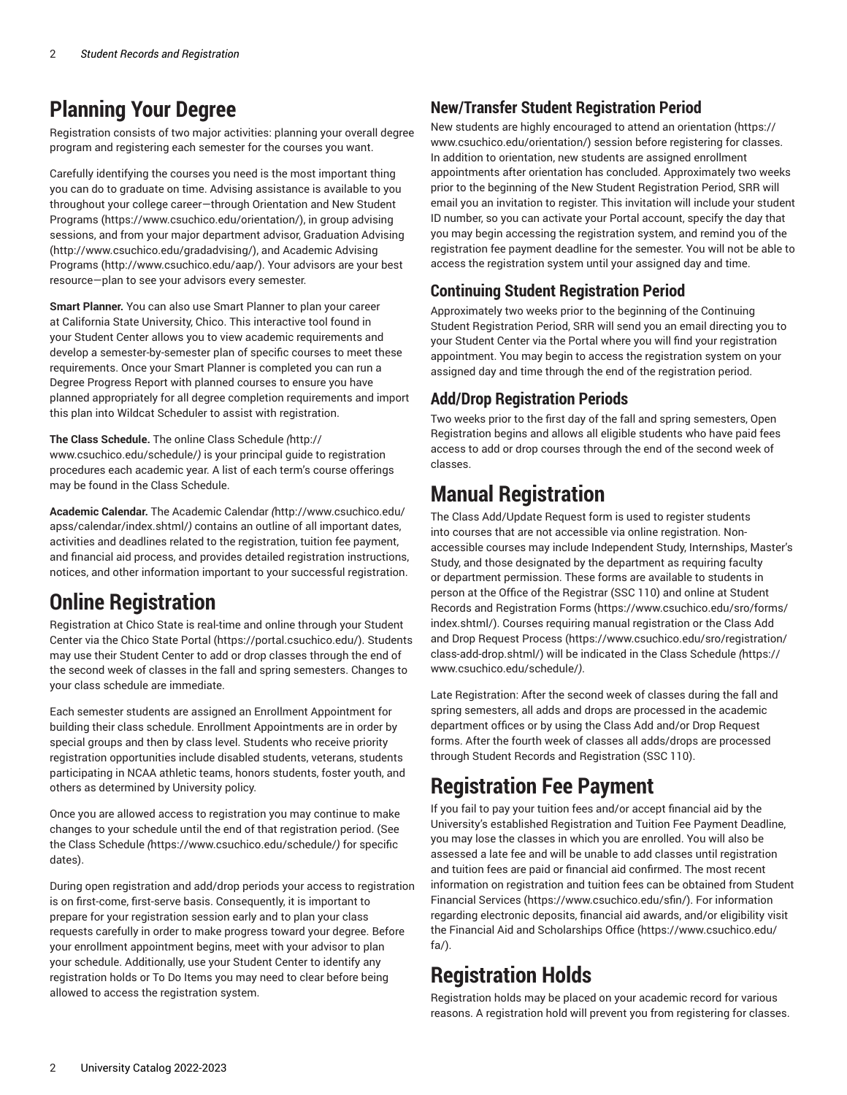### **Planning Your Degree**

Registration consists of two major activities: planning your overall degree program and registering each semester for the courses you want.

Carefully identifying the courses you need is the most important thing you can do to graduate on time. Advising assistance is available to you throughout your college career—through [Orientation and New Student](https://www.csuchico.edu/orientation/) [Programs](https://www.csuchico.edu/orientation/) ([https://www.csuchico.edu/orientation/\)](https://www.csuchico.edu/orientation/), in group advising sessions, and from your major department advisor, [Graduation Advising](http://www.csuchico.edu/gradadvising/) ([http://www.csuchico.edu/gradadvising/\)](http://www.csuchico.edu/gradadvising/), and [Academic Advising](http://www.csuchico.edu/aap/) [Programs](http://www.csuchico.edu/aap/) ([http://www.csuchico.edu/aap/\)](http://www.csuchico.edu/aap/). Your advisors are your best resource—plan to see your advisors every semester.

**Smart Planner.** You can also use Smart Planner to plan your career at California State University, Chico. This interactive tool found in your Student Center allows you to view academic requirements and develop a semester-by-semester plan of specific courses to meet these requirements. Once your Smart Planner is completed you can run a Degree Progress Report with planned courses to ensure you have planned appropriately for all degree completion requirements and import this plan into Wildcat Scheduler to assist with registration.

**The Class Schedule.** The online [Class Schedule](http://www.csuchico.edu/schedule/) *(*[http://](http://www.csuchico.edu/schedule/) [www.csuchico.edu/schedule/](http://www.csuchico.edu/schedule/)*)* is your principal guide to registration procedures each academic year. A list of each term's course offerings may be found in the Class Schedule.

**Academic Calendar.** The [Academic Calendar](http://www.csuchico.edu/apss/calendar/index.shtml/) *(*[http://www.csuchico.edu/](http://www.csuchico.edu/apss/calendar/index.shtml/) [apss/calendar/index.shtml/](http://www.csuchico.edu/apss/calendar/index.shtml/)*)* contains an outline of all important dates, activities and deadlines related to the registration, tuition fee payment, and financial aid process, and provides detailed registration instructions, notices, and other information important to your successful registration.

### **Online Registration**

Registration at Chico State is real-time and online through your Student Center via the Chico State [Portal \(https://portal.csuchico.edu/](https://portal.csuchico.edu/)). Students may use their Student Center to add or drop classes through the end of the second week of classes in the fall and spring semesters. Changes to your class schedule are immediate.

Each semester students are assigned an Enrollment Appointment for building their class schedule. Enrollment Appointments are in order by special groups and then by class level. Students who receive priority registration opportunities include disabled students, veterans, students participating in NCAA athletic teams, honors students, foster youth, and others as determined by University policy.

Once you are allowed access to registration you may continue to make changes to your schedule until the end of that registration period. (See the [Class Schedule](https://www.csuchico.edu/schedule/) *(*<https://www.csuchico.edu/schedule/>*)* for specific dates).

During open registration and add/drop periods your access to registration is on first-come, first-serve basis. Consequently, it is important to prepare for your registration session early and to plan your class requests carefully in order to make progress toward your degree. Before your enrollment appointment begins, meet with your advisor to plan your schedule. Additionally, use your Student Center to identify any registration holds or To Do Items you may need to clear before being allowed to access the registration system.

#### **New/Transfer Student Registration Period**

New students are highly encouraged to attend an [orientation](https://www.csuchico.edu/orientation/) ([https://](https://www.csuchico.edu/orientation/) [www.csuchico.edu/orientation/\)](https://www.csuchico.edu/orientation/) session before registering for classes. In addition to orientation, new students are assigned enrollment appointments after orientation has concluded. Approximately two weeks prior to the beginning of the New Student Registration Period, SRR will email you an invitation to register. This invitation will include your student ID number, so you can activate your Portal account, specify the day that you may begin accessing the registration system, and remind you of the registration fee payment deadline for the semester. You will not be able to access the registration system until your assigned day and time.

#### **Continuing Student Registration Period**

Approximately two weeks prior to the beginning of the Continuing Student Registration Period, SRR will send you an email directing you to your Student Center via the Portal where you will find your registration appointment. You may begin to access the registration system on your assigned day and time through the end of the registration period.

#### **Add/Drop Registration Periods**

Two weeks prior to the first day of the fall and spring semesters, Open Registration begins and allows all eligible students who have paid fees access to add or drop courses through the end of the second week of classes.

### **Manual Registration**

The Class Add/Update Request form is used to register students into courses that are not accessible via online registration. Nonaccessible courses may include Independent Study, Internships, Master's Study, and those designated by the department as requiring faculty or department permission. These forms are available to students in person at the Office of the Registrar (SSC 110) and online at [Student](https://www.csuchico.edu/sro/forms/index.shtml/) Records and [Registration](https://www.csuchico.edu/sro/forms/index.shtml/) Forms [\(https://www.csuchico.edu/sro/forms/](https://www.csuchico.edu/sro/forms/index.shtml/) [index.shtml/\)](https://www.csuchico.edu/sro/forms/index.shtml/). Courses requiring manual registration or the [Class Add](https://www.csuchico.edu/sro/registration/class-add-drop.shtml/) and Drop [Request](https://www.csuchico.edu/sro/registration/class-add-drop.shtml/) Process [\(https://www.csuchico.edu/sro/registration/](https://www.csuchico.edu/sro/registration/class-add-drop.shtml/) [class-add-drop.shtml/](https://www.csuchico.edu/sro/registration/class-add-drop.shtml/)) will be indicated in the [Class Schedule](https://www.csuchico.edu/schedule/) *(*[https://](https://www.csuchico.edu/schedule/) [www.csuchico.edu/schedule/](https://www.csuchico.edu/schedule/)*)*.

Late Registration: After the second week of classes during the fall and spring semesters, all adds and drops are processed in the academic department offices or by using the Class Add and/or Drop Request forms. After the fourth week of classes all adds/drops are processed through Student Records and Registration (SSC 110).

### **Registration Fee Payment**

If you fail to pay your tuition fees and/or accept financial aid by the University's established Registration and Tuition Fee Payment Deadline, you may lose the classes in which you are enrolled. You will also be assessed a late fee and will be unable to add classes until registration and tuition fees are paid or financial aid confirmed. The most recent information on registration and tuition fees can be obtained from [Student](https://www.csuchico.edu/sfin/) [Financial](https://www.csuchico.edu/sfin/) Services [\(https://www.csuchico.edu/sfin/\)](https://www.csuchico.edu/sfin/). For information regarding electronic deposits, financial aid awards, and/or eligibility visit the [Financial Aid and Scholarships Office \(https://www.csuchico.edu/](https://www.csuchico.edu/fa/) [fa/\)](https://www.csuchico.edu/fa/).

## **Registration Holds**

Registration holds may be placed on your academic record for various reasons. A registration hold will prevent you from registering for classes.